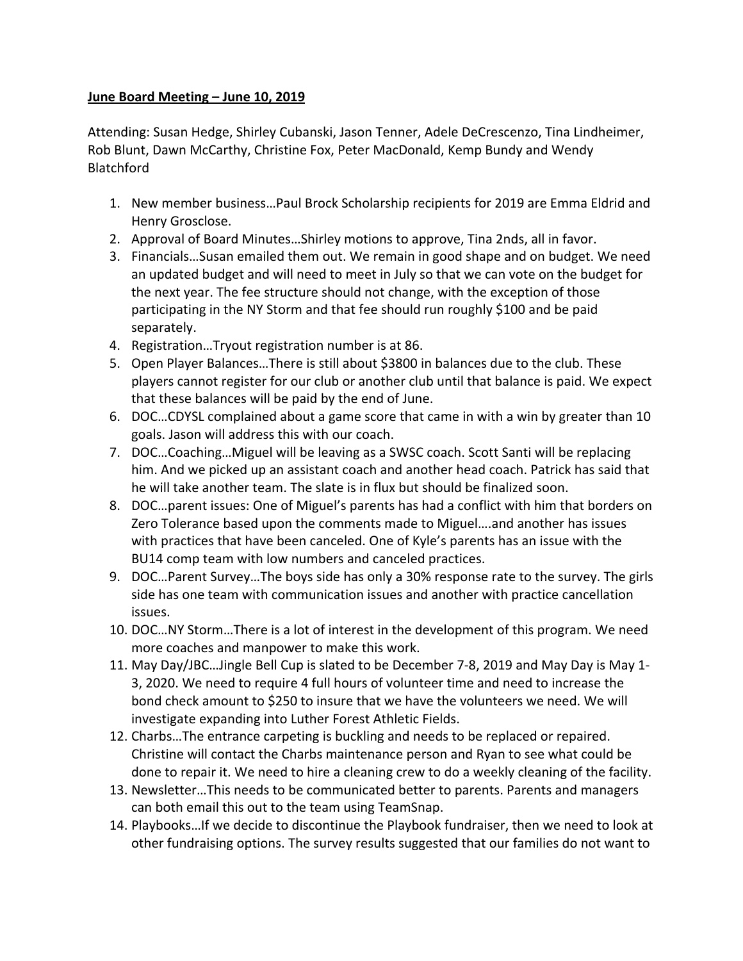## **June Board Meeting – June 10, 2019**

Attending: Susan Hedge, Shirley Cubanski, Jason Tenner, Adele DeCrescenzo, Tina Lindheimer, Rob Blunt, Dawn McCarthy, Christine Fox, Peter MacDonald, Kemp Bundy and Wendy Blatchford

- 1. New member business...Paul Brock Scholarship recipients for 2019 are Emma Eldrid and Henry Grosclose.
- 2. Approval of Board Minutes...Shirley motions to approve, Tina 2nds, all in favor.
- 3. Financials...Susan emailed them out. We remain in good shape and on budget. We need an updated budget and will need to meet in July so that we can vote on the budget for the next year. The fee structure should not change, with the exception of those participating in the NY Storm and that fee should run roughly \$100 and be paid separately.
- 4. Registration...Tryout registration number is at 86.
- 5. Open Player Balances...There is still about \$3800 in balances due to the club. These players cannot register for our club or another club until that balance is paid. We expect that these balances will be paid by the end of June.
- 6. DOC...CDYSL complained about a game score that came in with a win by greater than 10 goals. Jason will address this with our coach.
- 7. DOC...Coaching...Miguel will be leaving as a SWSC coach. Scott Santi will be replacing him. And we picked up an assistant coach and another head coach. Patrick has said that he will take another team. The slate is in flux but should be finalized soon.
- 8. DOC... parent issues: One of Miguel's parents has had a conflict with him that borders on Zero Tolerance based upon the comments made to Miguel....and another has issues with practices that have been canceled. One of Kyle's parents has an issue with the BU14 comp team with low numbers and canceled practices.
- 9. DOC...Parent Survey...The boys side has only a 30% response rate to the survey. The girls side has one team with communication issues and another with practice cancellation issues.
- 10. DOC...NY Storm...There is a lot of interest in the development of this program. We need more coaches and manpower to make this work.
- 11. May Day/JBC...Jingle Bell Cup is slated to be December 7-8, 2019 and May Day is May 1-3, 2020. We need to require 4 full hours of volunteer time and need to increase the bond check amount to \$250 to insure that we have the volunteers we need. We will investigate expanding into Luther Forest Athletic Fields.
- 12. Charbs...The entrance carpeting is buckling and needs to be replaced or repaired. Christine will contact the Charbs maintenance person and Ryan to see what could be done to repair it. We need to hire a cleaning crew to do a weekly cleaning of the facility.
- 13. Newsletter...This needs to be communicated better to parents. Parents and managers can both email this out to the team using TeamSnap.
- 14. Playbooks... If we decide to discontinue the Playbook fundraiser, then we need to look at other fundraising options. The survey results suggested that our families do not want to